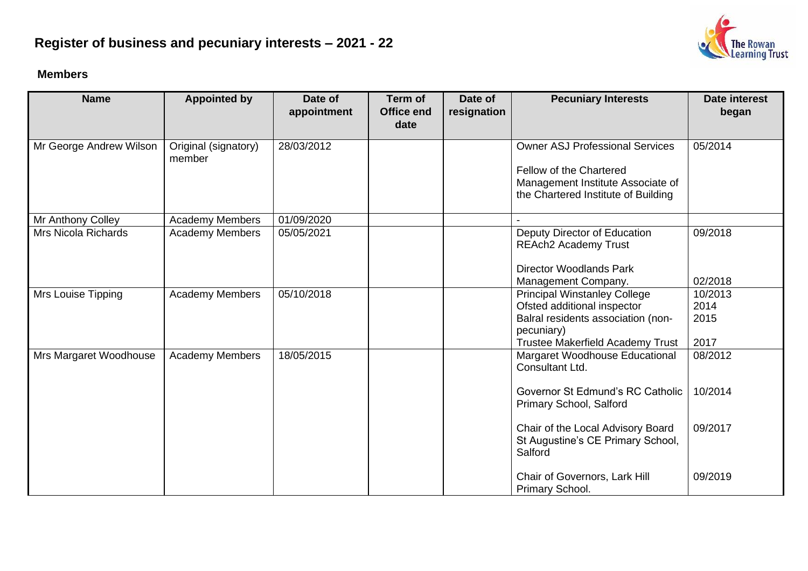## **Register of business and pecuniary interests – 2021 - 22**

## **Members**

| <b>Name</b>                | <b>Appointed by</b>            | Date of<br>appointment | <b>Term of</b><br><b>Office end</b><br>date | Date of<br>resignation | <b>Pecuniary Interests</b>                                                                                                                                 | Date interest<br>began          |
|----------------------------|--------------------------------|------------------------|---------------------------------------------|------------------------|------------------------------------------------------------------------------------------------------------------------------------------------------------|---------------------------------|
| Mr George Andrew Wilson    | Original (signatory)<br>member | 28/03/2012             |                                             |                        | <b>Owner ASJ Professional Services</b><br>Fellow of the Chartered<br>Management Institute Associate of<br>the Chartered Institute of Building              | 05/2014                         |
| Mr Anthony Colley          | Academy Members                | 01/09/2020             |                                             |                        |                                                                                                                                                            |                                 |
| <b>Mrs Nicola Richards</b> | <b>Academy Members</b>         | 05/05/2021             |                                             |                        | Deputy Director of Education<br><b>REAch2 Academy Trust</b><br><b>Director Woodlands Park</b>                                                              | 09/2018                         |
|                            |                                |                        |                                             |                        | Management Company.                                                                                                                                        | 02/2018                         |
| Mrs Louise Tipping         | <b>Academy Members</b>         | 05/10/2018             |                                             |                        | <b>Principal Winstanley College</b><br>Ofsted additional inspector<br>Balral residents association (non-<br>pecuniary)<br>Trustee Makerfield Academy Trust | 10/2013<br>2014<br>2015<br>2017 |
| Mrs Margaret Woodhouse     | <b>Academy Members</b>         | 18/05/2015             |                                             |                        | Margaret Woodhouse Educational<br>Consultant Ltd.<br>Governor St Edmund's RC Catholic<br>Primary School, Salford                                           | 08/2012<br>10/2014              |
|                            |                                |                        |                                             |                        | Chair of the Local Advisory Board<br>St Augustine's CE Primary School,<br>Salford                                                                          | 09/2017                         |
|                            |                                |                        |                                             |                        | Chair of Governors, Lark Hill<br>Primary School.                                                                                                           | 09/2019                         |

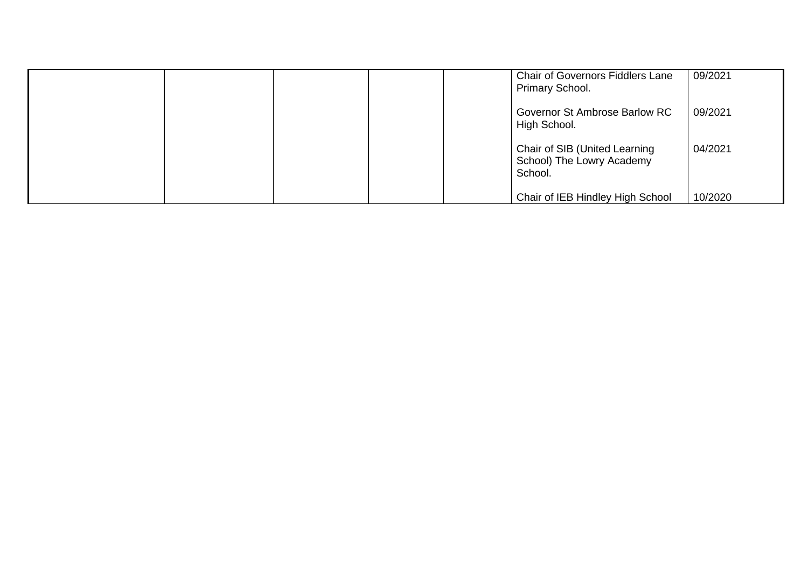|  |  | <b>Chair of Governors Fiddlers Lane</b><br>Primary School.            | 09/2021 |
|--|--|-----------------------------------------------------------------------|---------|
|  |  | Governor St Ambrose Barlow RC<br>High School.                         | 09/2021 |
|  |  | Chair of SIB (United Learning<br>School) The Lowry Academy<br>School. | 04/2021 |
|  |  | Chair of IEB Hindley High School                                      | 10/2020 |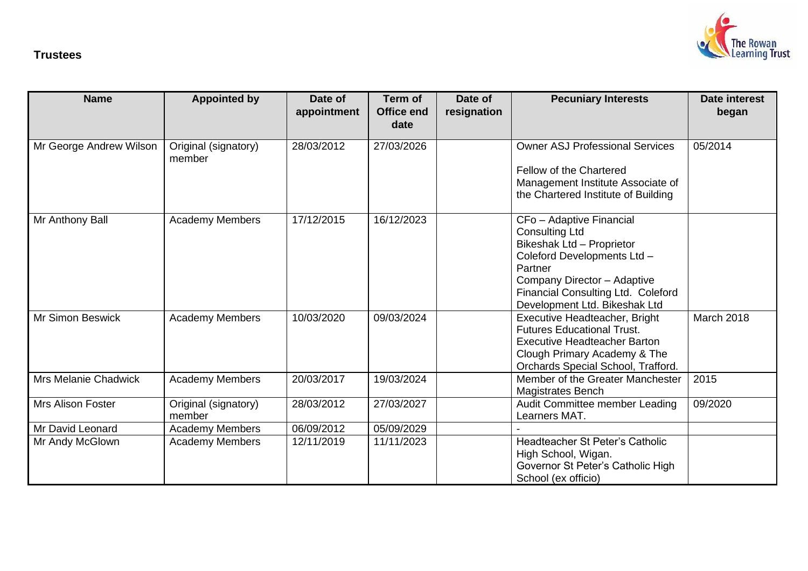

## **Trustees**

| <b>Name</b>                 | <b>Appointed by</b>            | Date of<br>appointment | Term of<br><b>Office end</b><br>date | Date of<br>resignation | <b>Pecuniary Interests</b>                                                                                                                                                                                                     | Date interest<br>began |
|-----------------------------|--------------------------------|------------------------|--------------------------------------|------------------------|--------------------------------------------------------------------------------------------------------------------------------------------------------------------------------------------------------------------------------|------------------------|
| Mr George Andrew Wilson     | Original (signatory)<br>member | 28/03/2012             | 27/03/2026                           |                        | <b>Owner ASJ Professional Services</b><br>Fellow of the Chartered<br>Management Institute Associate of<br>the Chartered Institute of Building                                                                                  | 05/2014                |
| Mr Anthony Ball             | <b>Academy Members</b>         | 17/12/2015             | 16/12/2023                           |                        | CFo - Adaptive Financial<br><b>Consulting Ltd</b><br>Bikeshak Ltd - Proprietor<br>Coleford Developments Ltd -<br>Partner<br>Company Director - Adaptive<br>Financial Consulting Ltd. Coleford<br>Development Ltd. Bikeshak Ltd |                        |
| <b>Mr Simon Beswick</b>     | <b>Academy Members</b>         | 10/03/2020             | 09/03/2024                           |                        | Executive Headteacher, Bright<br><b>Futures Educational Trust.</b><br><b>Executive Headteacher Barton</b><br>Clough Primary Academy & The<br>Orchards Special School, Trafford.                                                | March 2018             |
| <b>Mrs Melanie Chadwick</b> | <b>Academy Members</b>         | 20/03/2017             | 19/03/2024                           |                        | Member of the Greater Manchester<br><b>Magistrates Bench</b>                                                                                                                                                                   | 2015                   |
| <b>Mrs Alison Foster</b>    | Original (signatory)<br>member | 28/03/2012             | 27/03/2027                           |                        | Audit Committee member Leading<br>Learners MAT.                                                                                                                                                                                | 09/2020                |
| Mr David Leonard            | <b>Academy Members</b>         | 06/09/2012             | 05/09/2029                           |                        |                                                                                                                                                                                                                                |                        |
| Mr Andy McGlown             | <b>Academy Members</b>         | 12/11/2019             | 11/11/2023                           |                        | Headteacher St Peter's Catholic<br>High School, Wigan.<br>Governor St Peter's Catholic High<br>School (ex officio)                                                                                                             |                        |